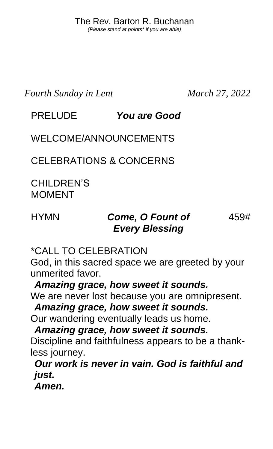*Fourth Sunday in Lent March 27, 2022*

# PRELUDE *You are Good*

WELCOME/ANNOUNCEMENTS

# CELEBRATIONS & CONCERNS

CHILDREN'S MOMENT

### HYMN *Come, O Fount of Every Blessing* 459#

\*CALL TO CELEBRATION

God, in this sacred space we are greeted by your unmerited favor.

*Amazing grace, how sweet it sounds.*

We are never lost because you are omnipresent. *Amazing grace, how sweet it sounds.*

Our wandering eventually leads us home.

*Amazing grace, how sweet it sounds.*

Discipline and faithfulness appears to be a thankless journey.

*Our work is never in vain. God is faithful and just.*

*Amen.*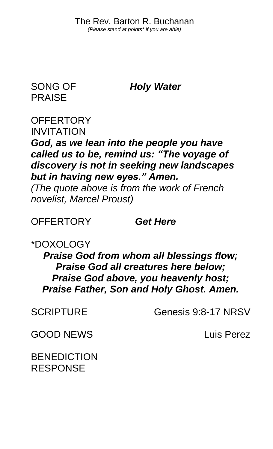# SONG OF PRAISE

*Holy Water* 

### **OFFERTORY** INVITATION

# *God, as we lean into the people you have called us to be, remind us: "The voyage of discovery is not in seeking new landscapes but in having new eyes." Amen.*

*(The quote above is from the work of French novelist, Marcel Proust)*

## OFFERTORY *Get Here*

# \*DOXOLOGY

*Praise God from whom all blessings flow; Praise God all creatures here below; Praise God above, you heavenly host; Praise Father, Son and Holy Ghost. Amen.*

SCRIPTURE Genesis 9:8-17 NRSV

GOOD NEWS Luis Perez

BENEDICTION RESPONSE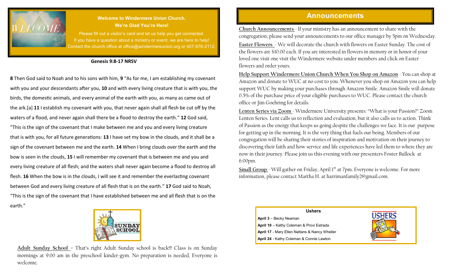

### **Welcome to Windermere Union Church. We're Glad You're Here!**

Please fill out a visitor's card and let us help you get connected. If you have a question about a ministry or event, we are here to help! Contact the church office at office@windermereunion.org or 407-876-2112.

#### **Genesis 9:8-17 NRSV**

**8** Then God said to Noah and to his sons with him, **9** "As for me, I am establishing my covenant with you and your descendants after you, **10** and with every living creature that is with you, the birds, the domestic animals, and every animal of the earth with you, as many as came out of the ark.[a] **11** I establish my covenant with you, that never again shall all flesh be cut off by the waters of a flood, and never again shall there be a flood to destroy the earth." **12** God said, "This is the sign of the covenant that I make between me and you and every living creature that is with you, for all future generations: **13** I have set my bow in the clouds, and it shall be a sign of the covenant between me and the earth. **14** When I bring clouds over the earth and the bow is seen in the clouds, **15** I will remember my covenant that is between me and you and every living creature of all flesh; and the waters shall never again become a flood to destroy all flesh. 16 When the bow is in the clouds, I will see it and remember the everlasting covenant between God and every living creature of all flesh that is on the earth." **17** God said to Noah, "This is the sign of the covenant that I have established between me and all flesh that is on the earth."



**Adult Sunday School** – That's right Adult Sunday school is back!!! Class is on Sunday mornings at 9:00 am in the preschool kinder-gym. No preparation is needed. Everyone is welcome.

### **Announcements**

**Church Announcements** - If your ministry has an announcement to share with the congregation, please send your announcements to our office manager by 5pm on Wednesday. **Easter Flowers** - We will decorate the church with flowers on Easter Sunday. The cost of the flowers are \$10.00 each. If you are interested in flowers in memory or in honor of your loved one visit one visit the Windermere website under members and click on Easter flowers and order yours.

**Help Support Windermere Union Church When You Shop on Amazon** - You can shop at Amazon and donate to WUC at no cost to you. Whenever you shop on Amazon you can help support WUC by making your purchases through Amazon Smile. Amazon Smile will donate 0.5% of the purchase price of your eligible purchases to WUC. Please contact the church office or Jim Goehring for details.

**Lenten Series via Zoom** - Windermere University presents: "What is your Passion?" Zoom Lenten Series. Lent calls us to reflection and evaluation, but it also calls us to action. Think of Passion as the energy that keeps us going despite the challenges we face. It is our purpose for getting up in the morning. It is the very thing that fuels our being. Members of our congregation will be sharing their stories of inspiration and motivation on their journey to discovering their faith and how service and life experiences have led them to where they are now in their journey. Please join us this evening with our presenters Foster Bullock at 6:00pm.

**Small Group**  $\cdot$  Will gather on Friday, April 1<sup>st</sup> at 7pm. Everyone is welcome. For more information, please contact Martha H. at harrimanfamily2@gmail.com.



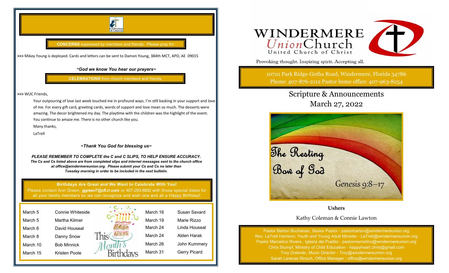

#### **CONCERNS** expressed by members and friends. Please pray for:

**><>** Mikey Young is deployed. Cards and letters can be sent to Damon Young, 384th MCT, APO, AE 09015

*~God we know You hear our prayers~*

**CELEBRATIONS** from church members and friends

#### **><>** WUC Friends,

Your outpouring of love last week touched me in profound ways. I'm still basking in your support and love of me. For every gift card, greeting cards, words of support and love mean so much. The desserts were amazing. The decor brightened my day. The playtime with the children was the highlight of the event. You continue to amaze me. There is no other church like you.

Many thanks,

LaTrell

*~Thank You God for blessing us~*

*PLEASE REMEMBER TO COMPLETE the C and C SLIPS, TO HELP ENSURE ACCURACY. The Cs and Cs listed above are from completed slips and internet messages sent to the church office at office@windermereunion.org. Please submit your Cs and Cs no later than Tuesday morning in order to be included in the next bulletin.*

#### **Birthdays Are Great and We Want to Celebrate With You!**

Please contact Ann Green, **[ggreen7@cfl.rr.com](mailto:ggreen7@cfl.rr.com)** or 407-293-8892 with those special dates for all your family members so we can recognize and wish one and all a Happy Birthday!





Provoking thought. Inspiring spirit. Accepting all.

10710 Park Ridge-Gotha Road, Windermere, Florida 34786 Phone: 407-876-2112 Pastor home office: 407-963-8254

### Scripture & Announcements March 27, 2022



#### **Ushers**

### Kathy Coleman & Connie Lawton

Pastor Barton Buchanan, Senior Pastor - pastorbarton@windermereunion.org Rev. LaTrell Harrison, Youth and Young Adult Minister - LaTrell@windermereunion.org Pastor Marcelino Rivera , Iglesia del Pueblo - pastormarcelino@windermereunion.org Chris Stumpf, Ministry of Child Education - happyheart.chris@gmail.com Troy Dolendo, Music Director - Troy@windermereunion.org Sarah Larenas Rinsch, Office Manager - office@windermereunion.org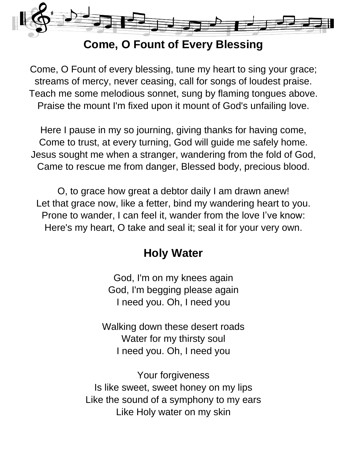

**Come, O Fount of Every Blessing**

Come, O Fount of every blessing, tune my heart to sing your grace; streams of mercy, never ceasing, call for songs of loudest praise. Teach me some melodious sonnet, sung by flaming tongues above. Praise the mount I'm fixed upon it mount of God's unfailing love.

Here I pause in my so journing, giving thanks for having come, Come to trust, at every turning, God will guide me safely home. Jesus sought me when a stranger, wandering from the fold of God, Came to rescue me from danger, Blessed body, precious blood.

O, to grace how great a debtor daily I am drawn anew! Let that grace now, like a fetter, bind my wandering heart to you. Prone to wander, I can feel it, wander from the love I've know: Here's my heart, O take and seal it; seal it for your very own.

# **Holy Water**

God, I'm on my knees again God, I'm begging please again I need you. Oh, I need you

Walking down these desert roads Water for my thirsty soul I need you. Oh, I need you

Your forgiveness Is like sweet, sweet honey on my lips Like the sound of a symphony to my ears Like Holy water on my skin